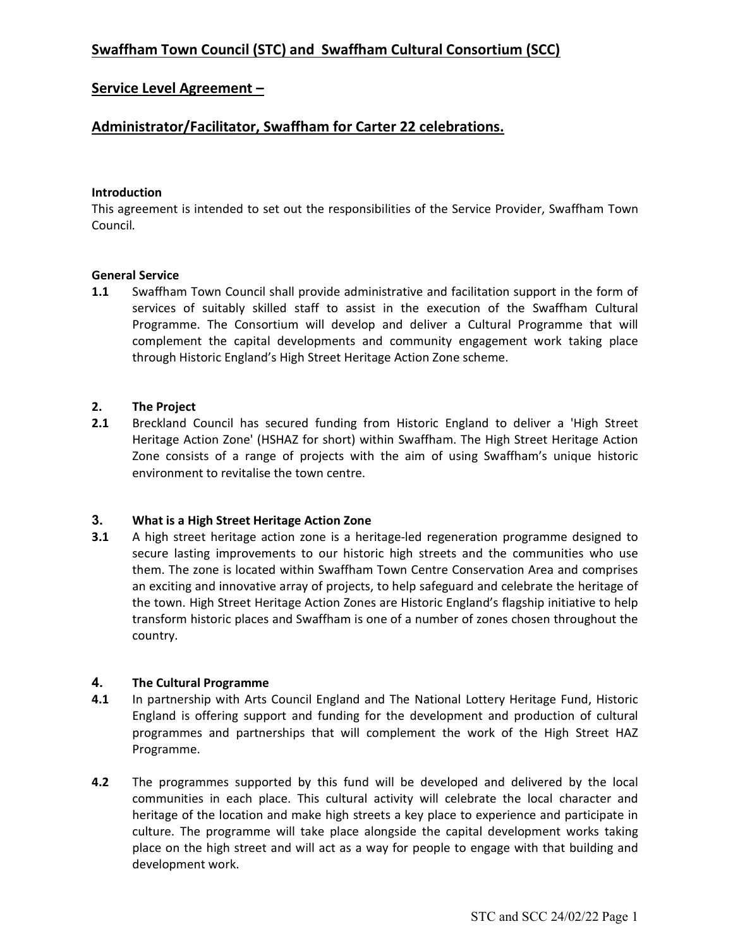# Service Level Agreement –

# Administrator/Facilitator, Swaffham for Carter 22 celebrations.

### Introduction

This agreement is intended to set out the responsibilities of the Service Provider, Swaffham Town Council.

### General Service

1.1 Swaffham Town Council shall provide administrative and facilitation support in the form of services of suitably skilled staff to assist in the execution of the Swaffham Cultural Programme. The Consortium will develop and deliver a Cultural Programme that will complement the capital developments and community engagement work taking place through Historic England's High Street Heritage Action Zone scheme.

### 2. The Project

2.1 Breckland Council has secured funding from Historic England to deliver a 'High Street Heritage Action Zone' (HSHAZ for short) within Swaffham. The High Street Heritage Action Zone consists of a range of projects with the aim of using Swaffham's unique historic environment to revitalise the town centre.

## 3. What is a High Street Heritage Action Zone

**3.1** A high street heritage action zone is a heritage-led regeneration programme designed to secure lasting improvements to our historic high streets and the communities who use them. The zone is located within Swaffham Town Centre Conservation Area and comprises an exciting and innovative array of projects, to help safeguard and celebrate the heritage of the town. High Street Heritage Action Zones are Historic England's flagship initiative to help transform historic places and Swaffham is one of a number of zones chosen throughout the country.

## 4. The Cultural Programme

- 4.1 In partnership with Arts Council England and The National Lottery Heritage Fund, Historic England is offering support and funding for the development and production of cultural programmes and partnerships that will complement the work of the High Street HAZ Programme.
- 4.2 The programmes supported by this fund will be developed and delivered by the local communities in each place. This cultural activity will celebrate the local character and heritage of the location and make high streets a key place to experience and participate in culture. The programme will take place alongside the capital development works taking place on the high street and will act as a way for people to engage with that building and development work.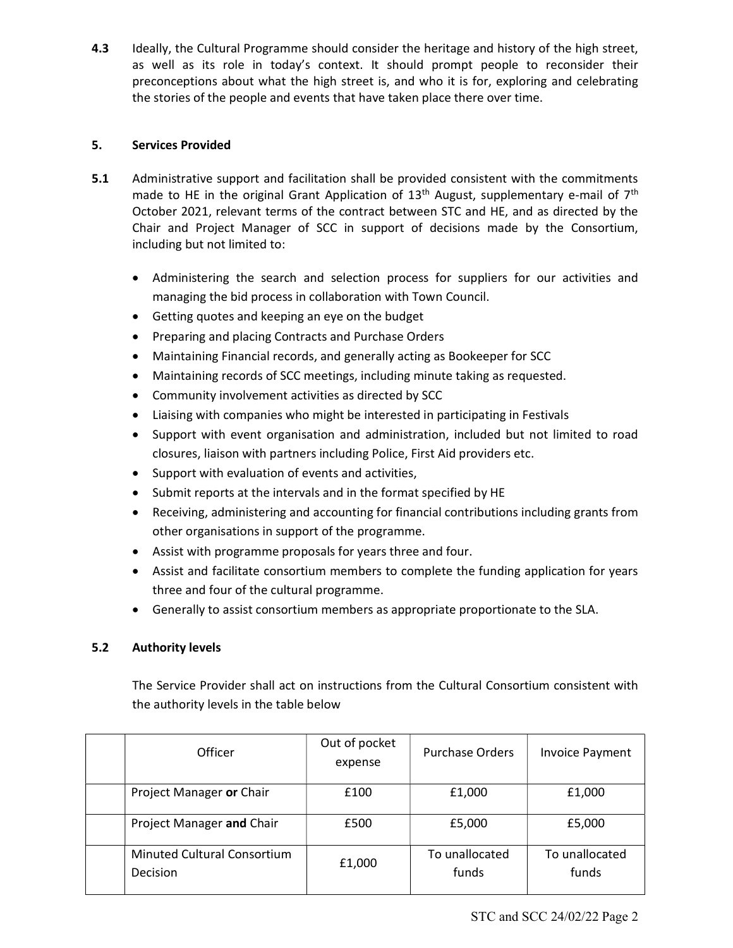4.3 Ideally, the Cultural Programme should consider the heritage and history of the high street, as well as its role in today's context. It should prompt people to reconsider their preconceptions about what the high street is, and who it is for, exploring and celebrating the stories of the people and events that have taken place there over time.

# 5. Services Provided

- 5.1 Administrative support and facilitation shall be provided consistent with the commitments made to HE in the original Grant Application of  $13<sup>th</sup>$  August, supplementary e-mail of  $7<sup>th</sup>$ October 2021, relevant terms of the contract between STC and HE, and as directed by the Chair and Project Manager of SCC in support of decisions made by the Consortium, including but not limited to:
	- Administering the search and selection process for suppliers for our activities and managing the bid process in collaboration with Town Council.
	- Getting quotes and keeping an eye on the budget
	- Preparing and placing Contracts and Purchase Orders
	- Maintaining Financial records, and generally acting as Bookeeper for SCC
	- Maintaining records of SCC meetings, including minute taking as requested.
	- Community involvement activities as directed by SCC
	- Liaising with companies who might be interested in participating in Festivals
	- Support with event organisation and administration, included but not limited to road closures, liaison with partners including Police, First Aid providers etc.
	- Support with evaluation of events and activities,
	- Submit reports at the intervals and in the format specified by HE
	- Receiving, administering and accounting for financial contributions including grants from other organisations in support of the programme.
	- Assist with programme proposals for years three and four.
	- Assist and facilitate consortium members to complete the funding application for years three and four of the cultural programme.
	- Generally to assist consortium members as appropriate proportionate to the SLA.

# 5.2 Authority levels

The Service Provider shall act on instructions from the Cultural Consortium consistent with the authority levels in the table below

| <b>Officer</b>                                 | Out of pocket<br>expense | <b>Purchase Orders</b>  | <b>Invoice Payment</b>  |
|------------------------------------------------|--------------------------|-------------------------|-------------------------|
| Project Manager or Chair                       | £100                     | £1,000                  | £1,000                  |
| Project Manager and Chair                      | £500                     | £5,000                  | £5,000                  |
| <b>Minuted Cultural Consortium</b><br>Decision | £1,000                   | To unallocated<br>funds | To unallocated<br>funds |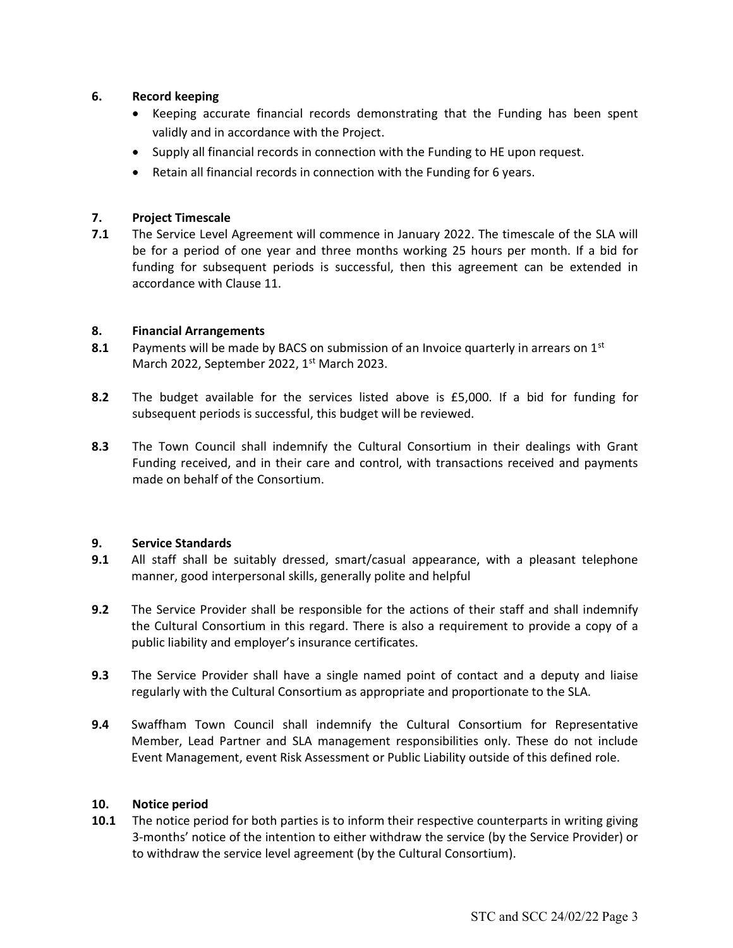## 6. Record keeping

- Keeping accurate financial records demonstrating that the Funding has been spent validly and in accordance with the Project.
- Supply all financial records in connection with the Funding to HE upon request.
- Retain all financial records in connection with the Funding for 6 years.

## 7. Project Timescale

7.1 The Service Level Agreement will commence in January 2022. The timescale of the SLA will be for a period of one year and three months working 25 hours per month. If a bid for funding for subsequent periods is successful, then this agreement can be extended in accordance with Clause 11.

### 8. Financial Arrangements

- 8.1 Payments will be made by BACS on submission of an Invoice quarterly in arrears on  $1<sup>st</sup>$ March 2022, September 2022, 1<sup>st</sup> March 2023.
- 8.2 The budget available for the services listed above is £5,000. If a bid for funding for subsequent periods is successful, this budget will be reviewed.
- 8.3 The Town Council shall indemnify the Cultural Consortium in their dealings with Grant Funding received, and in their care and control, with transactions received and payments made on behalf of the Consortium.

#### 9. Service Standards

- 9.1 All staff shall be suitably dressed, smart/casual appearance, with a pleasant telephone manner, good interpersonal skills, generally polite and helpful
- 9.2 The Service Provider shall be responsible for the actions of their staff and shall indemnify the Cultural Consortium in this regard. There is also a requirement to provide a copy of a public liability and employer's insurance certificates.
- 9.3 The Service Provider shall have a single named point of contact and a deputy and liaise regularly with the Cultural Consortium as appropriate and proportionate to the SLA.
- 9.4 Swaffham Town Council shall indemnify the Cultural Consortium for Representative Member, Lead Partner and SLA management responsibilities only. These do not include Event Management, event Risk Assessment or Public Liability outside of this defined role.

#### 10. Notice period

10.1 The notice period for both parties is to inform their respective counterparts in writing giving 3-months' notice of the intention to either withdraw the service (by the Service Provider) or to withdraw the service level agreement (by the Cultural Consortium).